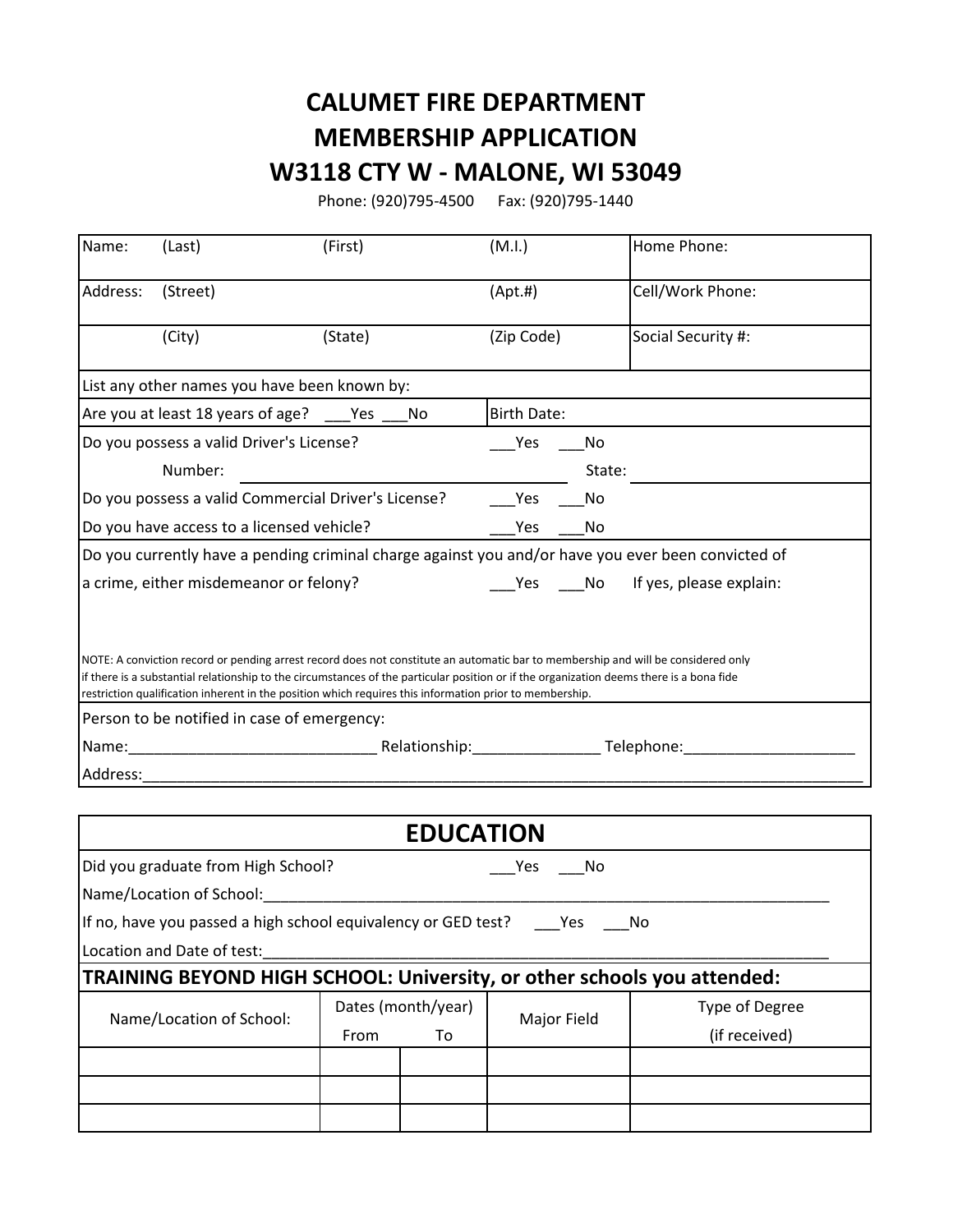## **CALUMET FIRE DEPARTMENT MEMBERSHIP APPLICATION W3118 CTY W - MALONE, WI 53049**

Phone: (920)795-4500 Fax: (920)795-1440

| Name:    | (Last)                                                                                                                                                 | (First)            |                  | (M.I.)             |               | Home Phone:                                                                                        |
|----------|--------------------------------------------------------------------------------------------------------------------------------------------------------|--------------------|------------------|--------------------|---------------|----------------------------------------------------------------------------------------------------|
| Address: | (Street)                                                                                                                                               |                    |                  | (Apt.#)            |               | Cell/Work Phone:                                                                                   |
|          | (City)                                                                                                                                                 | (State)            |                  | (Zip Code)         |               | Social Security #:                                                                                 |
|          | List any other names you have been known by:                                                                                                           |                    |                  |                    |               |                                                                                                    |
|          | Are you at least 18 years of age? ____ Yes ___                                                                                                         |                    | No               | <b>Birth Date:</b> |               |                                                                                                    |
|          | Do you possess a valid Driver's License?                                                                                                               |                    |                  | Yes                | No            |                                                                                                    |
|          | Number:                                                                                                                                                |                    |                  |                    | State:        |                                                                                                    |
|          | Do you possess a valid Commercial Driver's License?                                                                                                    |                    |                  | Yes                | No            |                                                                                                    |
|          | Do you have access to a licensed vehicle?                                                                                                              |                    |                  | Yes                | No            |                                                                                                    |
|          |                                                                                                                                                        |                    |                  |                    |               | Do you currently have a pending criminal charge against you and/or have you ever been convicted of |
|          | a crime, either misdemeanor or felony?                                                                                                                 |                    |                  |                    |               | ____Yes _____No lf yes, please explain:                                                            |
|          | restriction qualification inherent in the position which requires this information prior to membership.<br>Person to be notified in case of emergency: |                    |                  |                    |               |                                                                                                    |
| Address: |                                                                                                                                                        |                    |                  |                    |               |                                                                                                    |
|          |                                                                                                                                                        |                    |                  |                    |               |                                                                                                    |
|          |                                                                                                                                                        |                    | <b>EDUCATION</b> |                    |               |                                                                                                    |
|          | Did you graduate from High School?                                                                                                                     |                    |                  | Yes                | No            |                                                                                                    |
|          | Name/Location of School:                                                                                                                               |                    |                  |                    |               |                                                                                                    |
|          | If no, have you passed a high school equivalency or GED test?                                                                                          |                    |                  |                    | Yes           | No                                                                                                 |
|          | Location and Date of test:                                                                                                                             |                    |                  |                    |               |                                                                                                    |
|          | TRAINING BEYOND HIGH SCHOOL: University, or other schools you attended:                                                                                |                    |                  |                    |               |                                                                                                    |
|          | Name/Location of School:                                                                                                                               | Dates (month/year) |                  |                    |               | Type of Degree                                                                                     |
|          |                                                                                                                                                        | From               | To               | Major Field        | (if received) |                                                                                                    |
|          |                                                                                                                                                        |                    |                  |                    |               |                                                                                                    |
|          |                                                                                                                                                        |                    |                  |                    |               |                                                                                                    |
|          |                                                                                                                                                        |                    |                  |                    |               |                                                                                                    |